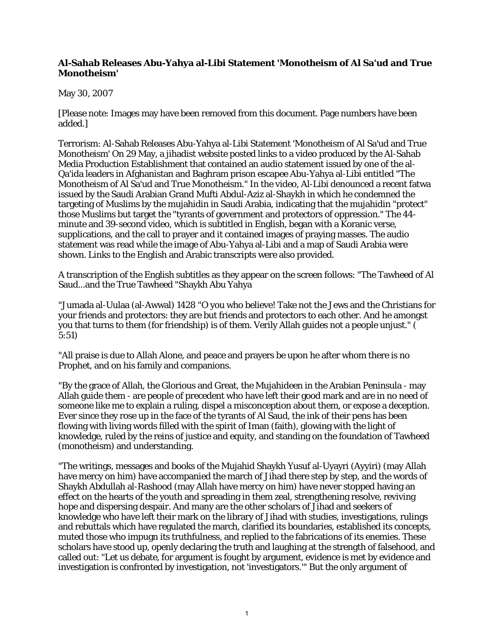## **Al-Sahab Releases Abu-Yahya al-Libi Statement 'Monotheism of Al Sa'ud and True Monotheism'**

## May 30, 2007

[Please note: Images may have been removed from this document. Page numbers have been added.]

Terrorism: Al-Sahab Releases Abu-Yahya al-Libi Statement 'Monotheism of Al Sa'ud and True Monotheism' On 29 May, a jihadist website posted links to a video produced by the Al-Sahab Media Production Establishment that contained an audio statement issued by one of the al-Qa'ida leaders in Afghanistan and Baghram prison escapee Abu-Yahya al-Libi entitled "The Monotheism of Al Sa'ud and True Monotheism." In the video, Al-Libi denounced a recent fatwa issued by the Saudi Arabian Grand Mufti Abdul-Aziz al-Shaykh in which he condemned the targeting of Muslims by the mujahidin in Saudi Arabia, indicating that the mujahidin "protect" those Muslims but target the "tyrants of government and protectors of oppression." The 44 minute and 39-second video, which is subtitled in English, began with a Koranic verse, supplications, and the call to prayer and it contained images of praying masses. The audio statement was read while the image of Abu-Yahya al-Libi and a map of Saudi Arabia were shown. Links to the English and Arabic transcripts were also provided.

A transcription of the English subtitles as they appear on the screen follows: "The Tawheed of Al Saud...and the True Tawheed "Shaykh Abu Yahya

"Jumada al-Uulaa (al-Awwal) 1428 "O you who believe! Take not the Jews and the Christians for your friends and protectors: they are but friends and protectors to each other. And he amongst you that turns to them (for friendship) is of them. Verily Allah guides not a people unjust." ( 5:51)

"All praise is due to Allah Alone, and peace and prayers be upon he after whom there is no Prophet, and on his family and companions.

"By the grace of Allah, the Glorious and Great, the Mujahideen in the Arabian Peninsula - may Allah guide them - are people of precedent who have left their good mark and are in no need of someone like me to explain a ruling, dispel a misconception about them, or expose a deception. Ever since they rose up in the face of the tyrants of Al Saud, the ink of their pens has been flowing with living words filled with the spirit of Iman (faith), glowing with the light of knowledge, ruled by the reins of justice and equity, and standing on the foundation of Tawheed (monotheism) and understanding.

"The writings, messages and books of the Mujahid Shaykh Yusuf al-Uyayri (Ayyiri) (may Allah have mercy on him) have accompanied the march of Jihad there step by step, and the words of Shaykh Abdullah al-Rashood (may Allah have mercy on him) have never stopped having an effect on the hearts of the youth and spreading in them zeal, strengthening resolve, reviving hope and dispersing despair. And many are the other scholars of Jihad and seekers of knowledge who have left their mark on the library of Jihad with studies, investigations, rulings and rebuttals which have regulated the march, clarified its boundaries, established its concepts, muted those who impugn its truthfulness, and replied to the fabrications of its enemies. These scholars have stood up, openly declaring the truth and laughing at the strength of falsehood, and called out: "Let us debate, for argument is fought by argument, evidence is met by evidence and investigation is confronted by investigation, not 'investigators.'" But the only argument of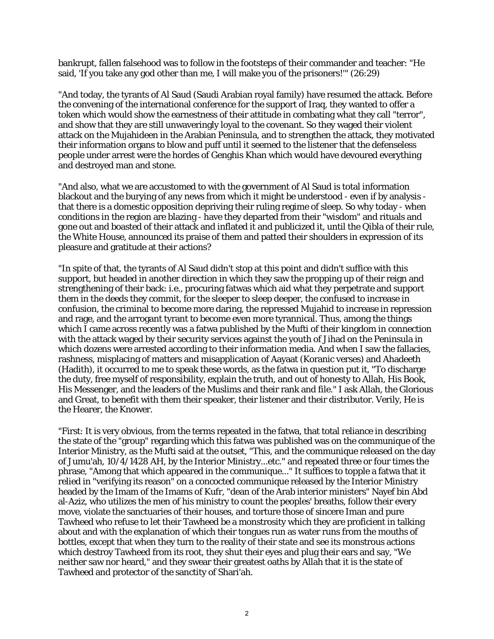bankrupt, fallen falsehood was to follow in the footsteps of their commander and teacher: "He said, 'If you take any god other than me, I will make you of the prisoners!'" (26:29)

"And today, the tyrants of Al Saud (Saudi Arabian royal family) have resumed the attack. Before the convening of the international conference for the support of Iraq, they wanted to offer a token which would show the earnestness of their attitude in combating what they call "terror", and show that they are still unwaveringly loyal to the covenant. So they waged their violent attack on the Mujahideen in the Arabian Peninsula, and to strengthen the attack, they motivated their information organs to blow and puff until it seemed to the listener that the defenseless people under arrest were the hordes of Genghis Khan which would have devoured everything and destroyed man and stone.

"And also, what we are accustomed to with the government of Al Saud is total information blackout and the burying of any news from which it might be understood - even if by analysis that there is a domestic opposition depriving their ruling regime of sleep. So why today - when conditions in the region are blazing - have they departed from their "wisdom" and rituals and gone out and boasted of their attack and inflated it and publicized it, until the Qibla of their rule, the White House, announced its praise of them and patted their shoulders in expression of its pleasure and gratitude at their actions?

"In spite of that, the tyrants of Al Saud didn't stop at this point and didn't suffice with this support, but headed in another direction in which they saw the propping up of their reign and strengthening of their back: i.e., procuring fatwas which aid what they perpetrate and support them in the deeds they commit, for the sleeper to sleep deeper, the confused to increase in confusion, the criminal to become more daring, the repressed Mujahid to increase in repression and rage, and the arrogant tyrant to become even more tyrannical. Thus, among the things which I came across recently was a fatwa published by the Mufti of their kingdom in connection with the attack waged by their security services against the youth of Jihad on the Peninsula in which dozens were arrested according to their information media. And when I saw the fallacies, rashness, misplacing of matters and misapplication of Aayaat (Koranic verses) and Ahadeeth (Hadith), it occurred to me to speak these words, as the fatwa in question put it, "To discharge the duty, free myself of responsibility, explain the truth, and out of honesty to Allah, His Book, His Messenger, and the leaders of the Muslims and their rank and file." I ask Allah, the Glorious and Great, to benefit with them their speaker, their listener and their distributor. Verily, He is the Hearer, the Knower.

"First: It is very obvious, from the terms repeated in the fatwa, that total reliance in describing the state of the "group" regarding which this fatwa was published was on the communique of the Interior Ministry, as the Mufti said at the outset, "This, and the communique released on the day of Jumu'ah, 10/4/1428 AH, by the Interior Ministry...etc." and repeated three or four times the phrase, "Among that which appeared in the communique..." It suffices to topple a fatwa that it relied in "verifying its reason" on a concocted communique released by the Interior Ministry headed by the Imam of the Imams of Kufr, "dean of the Arab interior ministers" Nayef bin Abd al-Aziz, who utilizes the men of his ministry to count the peoples' breaths, follow their every move, violate the sanctuaries of their houses, and torture those of sincere Iman and pure Tawheed who refuse to let their Tawheed be a monstrosity which they are proficient in talking about and with the explanation of which their tongues run as water runs from the mouths of bottles, except that when they turn to the reality of their state and see its monstrous actions which destroy Tawheed from its root, they shut their eyes and plug their ears and say, "We neither saw nor heard," and they swear their greatest oaths by Allah that it is the state of Tawheed and protector of the sanctity of Shari'ah.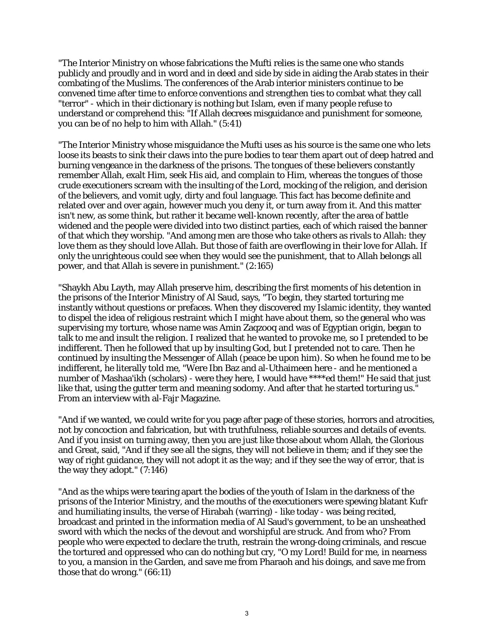"The Interior Ministry on whose fabrications the Mufti relies is the same one who stands publicly and proudly and in word and in deed and side by side in aiding the Arab states in their combating of the Muslims. The conferences of the Arab interior ministers continue to be convened time after time to enforce conventions and strengthen ties to combat what they call "terror" - which in their dictionary is nothing but Islam, even if many people refuse to understand or comprehend this: "If Allah decrees misguidance and punishment for someone, you can be of no help to him with Allah." (5:41)

"The Interior Ministry whose misguidance the Mufti uses as his source is the same one who lets loose its beasts to sink their claws into the pure bodies to tear them apart out of deep hatred and burning vengeance in the darkness of the prisons. The tongues of these believers constantly remember Allah, exalt Him, seek His aid, and complain to Him, whereas the tongues of those crude executioners scream with the insulting of the Lord, mocking of the religion, and derision of the believers, and vomit ugly, dirty and foul language. This fact has become definite and related over and over again, however much you deny it, or turn away from it. And this matter isn't new, as some think, but rather it became well-known recently, after the area of battle widened and the people were divided into two distinct parties, each of which raised the banner of that which they worship. "And among men are those who take others as rivals to Allah: they love them as they should love Allah. But those of faith are overflowing in their love for Allah. If only the unrighteous could see when they would see the punishment, that to Allah belongs all power, and that Allah is severe in punishment." (2:165)

"Shaykh Abu Layth, may Allah preserve him, describing the first moments of his detention in the prisons of the Interior Ministry of Al Saud, says, "To begin, they started torturing me instantly without questions or prefaces. When they discovered my Islamic identity, they wanted to dispel the idea of religious restraint which I might have about them, so the general who was supervising my torture, whose name was Amin Zaqzooq and was of Egyptian origin, began to talk to me and insult the religion. I realized that he wanted to provoke me, so I pretended to be indifferent. Then he followed that up by insulting God, but I pretended not to care. Then he continued by insulting the Messenger of Allah (peace be upon him). So when he found me to be indifferent, he literally told me, "Were Ibn Baz and al-Uthaimeen here - and he mentioned a number of Mashaa'ikh (scholars) - were they here, I would have \*\*\*\*ed them!" He said that just like that, using the gutter term and meaning sodomy. And after that he started torturing us." From an interview with al-Fajr Magazine.

"And if we wanted, we could write for you page after page of these stories, horrors and atrocities, not by concoction and fabrication, but with truthfulness, reliable sources and details of events. And if you insist on turning away, then you are just like those about whom Allah, the Glorious and Great, said, "And if they see all the signs, they will not believe in them; and if they see the way of right guidance, they will not adopt it as the way; and if they see the way of error, that is the way they adopt." (7:146)

"And as the whips were tearing apart the bodies of the youth of Islam in the darkness of the prisons of the Interior Ministry, and the mouths of the executioners were spewing blatant Kufr and humiliating insults, the verse of Hirabah (warring) - like today - was being recited, broadcast and printed in the information media of Al Saud's government, to be an unsheathed sword with which the necks of the devout and worshipful are struck. And from who? From people who were expected to declare the truth, restrain the wrong-doing criminals, and rescue the tortured and oppressed who can do nothing but cry, "O my Lord! Build for me, in nearness to you, a mansion in the Garden, and save me from Pharaoh and his doings, and save me from those that do wrong." (66:11)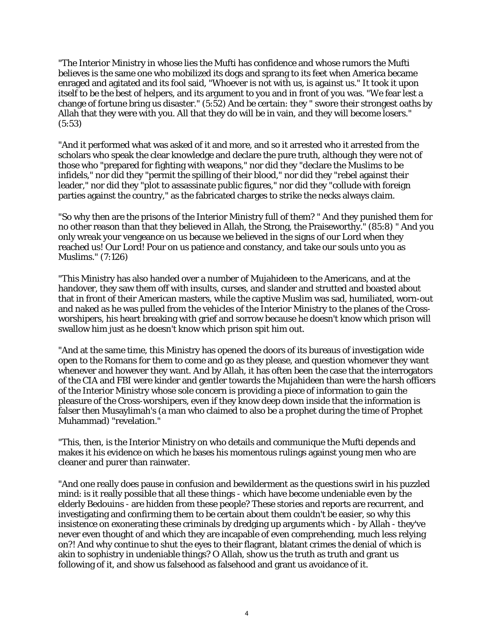"The Interior Ministry in whose lies the Mufti has confidence and whose rumors the Mufti believes is the same one who mobilized its dogs and sprang to its feet when America became enraged and agitated and its fool said, "Whoever is not with us, is against us." It took it upon itself to be the best of helpers, and its argument to you and in front of you was. "We fear lest a change of fortune bring us disaster." (5:52) And be certain: they " swore their strongest oaths by Allah that they were with you. All that they do will be in vain, and they will become losers." (5:53)

"And it performed what was asked of it and more, and so it arrested who it arrested from the scholars who speak the clear knowledge and declare the pure truth, although they were not of those who "prepared for fighting with weapons," nor did they "declare the Muslims to be infidels," nor did they "permit the spilling of their blood," nor did they "rebel against their leader," nor did they "plot to assassinate public figures," nor did they "collude with foreign parties against the country," as the fabricated charges to strike the necks always claim.

"So why then are the prisons of the Interior Ministry full of them? " And they punished them for no other reason than that they believed in Allah, the Strong, the Praiseworthy." (85:8) " And you only wreak your vengeance on us because we believed in the signs of our Lord when they reached us! Our Lord! Pour on us patience and constancy, and take our souls unto you as Muslims." (7:126)

"This Ministry has also handed over a number of Mujahideen to the Americans, and at the handover, they saw them off with insults, curses, and slander and strutted and boasted about that in front of their American masters, while the captive Muslim was sad, humiliated, worn-out and naked as he was pulled from the vehicles of the Interior Ministry to the planes of the Crossworshipers, his heart breaking with grief and sorrow because he doesn't know which prison will swallow him just as he doesn't know which prison spit him out.

"And at the same time, this Ministry has opened the doors of its bureaus of investigation wide open to the Romans for them to come and go as they please, and question whomever they want whenever and however they want. And by Allah, it has often been the case that the interrogators of the CIA and FBI were kinder and gentler towards the Mujahideen than were the harsh officers of the Interior Ministry whose sole concern is providing a piece of information to gain the pleasure of the Cross-worshipers, even if they know deep down inside that the information is falser then Musaylimah's (a man who claimed to also be a prophet during the time of Prophet Muhammad) "revelation."

"This, then, is the Interior Ministry on who details and communique the Mufti depends and makes it his evidence on which he bases his momentous rulings against young men who are cleaner and purer than rainwater.

"And one really does pause in confusion and bewilderment as the questions swirl in his puzzled mind: is it really possible that all these things - which have become undeniable even by the elderly Bedouins - are hidden from these people? These stories and reports are recurrent, and investigating and confirming them to be certain about them couldn't be easier, so why this insistence on exonerating these criminals by dredging up arguments which - by Allah - they've never even thought of and which they are incapable of even comprehending, much less relying on?! And why continue to shut the eyes to their flagrant, blatant crimes the denial of which is akin to sophistry in undeniable things? O Allah, show us the truth as truth and grant us following of it, and show us falsehood as falsehood and grant us avoidance of it.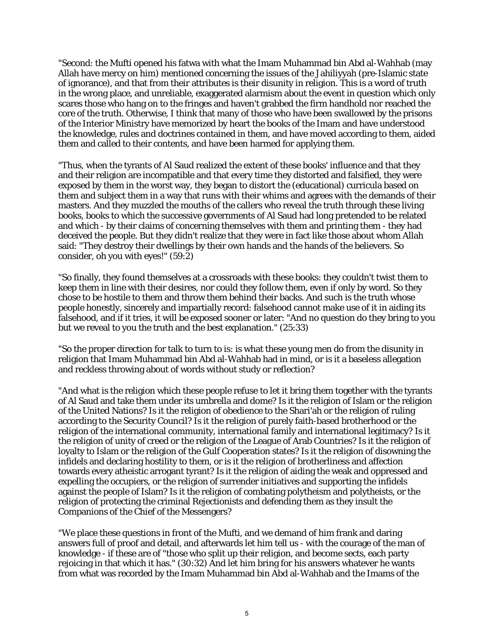"Second: the Mufti opened his fatwa with what the Imam Muhammad bin Abd al-Wahhab (may Allah have mercy on him) mentioned concerning the issues of the Jahiliyyah (pre-Islamic state of ignorance), and that from their attributes is their disunity in religion. This is a word of truth in the wrong place, and unreliable, exaggerated alarmism about the event in question which only scares those who hang on to the fringes and haven't grabbed the firm handhold nor reached the core of the truth. Otherwise, I think that many of those who have been swallowed by the prisons of the Interior Ministry have memorized by heart the books of the Imam and have understood the knowledge, rules and doctrines contained in them, and have moved according to them, aided them and called to their contents, and have been harmed for applying them.

"Thus, when the tyrants of Al Saud realized the extent of these books' influence and that they and their religion are incompatible and that every time they distorted and falsified, they were exposed by them in the worst way, they began to distort the (educational) curricula based on them and subject them in a way that runs with their whims and agrees with the demands of their masters. And they muzzled the mouths of the callers who reveal the truth through these living books, books to which the successive governments of Al Saud had long pretended to be related and which - by their claims of concerning themselves with them and printing them - they had deceived the people. But they didn't realize that they were in fact like those about whom Allah said: "They destroy their dwellings by their own hands and the hands of the believers. So consider, oh you with eyes!" (59:2)

"So finally, they found themselves at a crossroads with these books: they couldn't twist them to keep them in line with their desires, nor could they follow them, even if only by word. So they chose to be hostile to them and throw them behind their backs. And such is the truth whose people honestly, sincerely and impartially record: falsehood cannot make use of it in aiding its falsehood, and if it tries, it will be exposed sooner or later: "And no question do they bring to you but we reveal to you the truth and the best explanation." (25:33)

"So the proper direction for talk to turn to is: is what these young men do from the disunity in religion that Imam Muhammad bin Abd al-Wahhab had in mind, or is it a baseless allegation and reckless throwing about of words without study or reflection?

"And what is the religion which these people refuse to let it bring them together with the tyrants of Al Saud and take them under its umbrella and dome? Is it the religion of Islam or the religion of the United Nations? Is it the religion of obedience to the Shari'ah or the religion of ruling according to the Security Council? Is it the religion of purely faith-based brotherhood or the religion of the international community, international family and international legitimacy? Is it the religion of unity of creed or the religion of the League of Arab Countries? Is it the religion of loyalty to Islam or the religion of the Gulf Cooperation states? Is it the religion of disowning the infidels and declaring hostility to them, or is it the religion of brotherliness and affection towards every atheistic arrogant tyrant? Is it the religion of aiding the weak and oppressed and expelling the occupiers, or the religion of surrender initiatives and supporting the infidels against the people of Islam? Is it the religion of combating polytheism and polytheists, or the religion of protecting the criminal Rejectionists and defending them as they insult the Companions of the Chief of the Messengers?

"We place these questions in front of the Mufti, and we demand of him frank and daring answers full of proof and detail, and afterwards let him tell us - with the courage of the man of knowledge - if these are of "those who split up their religion, and become sects, each party rejoicing in that which it has." (30:32) And let him bring for his answers whatever he wants from what was recorded by the Imam Muhammad bin Abd al-Wahhab and the Imams of the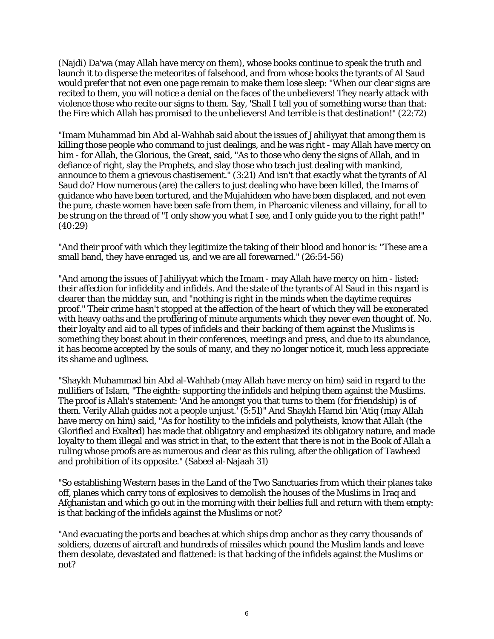(Najdi) Da'wa (may Allah have mercy on them), whose books continue to speak the truth and launch it to disperse the meteorites of falsehood, and from whose books the tyrants of Al Saud would prefer that not even one page remain to make them lose sleep: "When our clear signs are recited to them, you will notice a denial on the faces of the unbelievers! They nearly attack with violence those who recite our signs to them. Say, 'Shall I tell you of something worse than that: the Fire which Allah has promised to the unbelievers! And terrible is that destination!" (22:72)

"Imam Muhammad bin Abd al-Wahhab said about the issues of Jahiliyyat that among them is killing those people who command to just dealings, and he was right - may Allah have mercy on him - for Allah, the Glorious, the Great, said, "As to those who deny the signs of Allah, and in defiance of right, slay the Prophets, and slay those who teach just dealing with mankind, announce to them a grievous chastisement." (3:21) And isn't that exactly what the tyrants of Al Saud do? How numerous (are) the callers to just dealing who have been killed, the Imams of guidance who have been tortured, and the Mujahideen who have been displaced, and not even the pure, chaste women have been safe from them, in Pharoanic vileness and villainy, for all to be strung on the thread of "I only show you what I see, and I only guide you to the right path!" (40:29)

"And their proof with which they legitimize the taking of their blood and honor is: "These are a small band, they have enraged us, and we are all forewarned." (26:54-56)

"And among the issues of Jahiliyyat which the Imam - may Allah have mercy on him - listed: their affection for infidelity and infidels. And the state of the tyrants of Al Saud in this regard is clearer than the midday sun, and "nothing is right in the minds when the daytime requires proof." Their crime hasn't stopped at the affection of the heart of which they will be exonerated with heavy oaths and the proffering of minute arguments which they never even thought of. No. their loyalty and aid to all types of infidels and their backing of them against the Muslims is something they boast about in their conferences, meetings and press, and due to its abundance, it has become accepted by the souls of many, and they no longer notice it, much less appreciate its shame and ugliness.

"Shaykh Muhammad bin Abd al-Wahhab (may Allah have mercy on him) said in regard to the nullifiers of Islam, "The eighth: supporting the infidels and helping them against the Muslims. The proof is Allah's statement: 'And he amongst you that turns to them (for friendship) is of them. Verily Allah guides not a people unjust.' (5:51)" And Shaykh Hamd bin 'Atiq (may Allah have mercy on him) said, "As for hostility to the infidels and polytheists, know that Allah (the Glorified and Exalted) has made that obligatory and emphasized its obligatory nature, and made loyalty to them illegal and was strict in that, to the extent that there is not in the Book of Allah a ruling whose proofs are as numerous and clear as this ruling, after the obligation of Tawheed and prohibition of its opposite." (Sabeel al-Najaah 31)

"So establishing Western bases in the Land of the Two Sanctuaries from which their planes take off, planes which carry tons of explosives to demolish the houses of the Muslims in Iraq and Afghanistan and which go out in the morning with their bellies full and return with them empty: is that backing of the infidels against the Muslims or not?

"And evacuating the ports and beaches at which ships drop anchor as they carry thousands of soldiers, dozens of aircraft and hundreds of missiles which pound the Muslim lands and leave them desolate, devastated and flattened: is that backing of the infidels against the Muslims or not?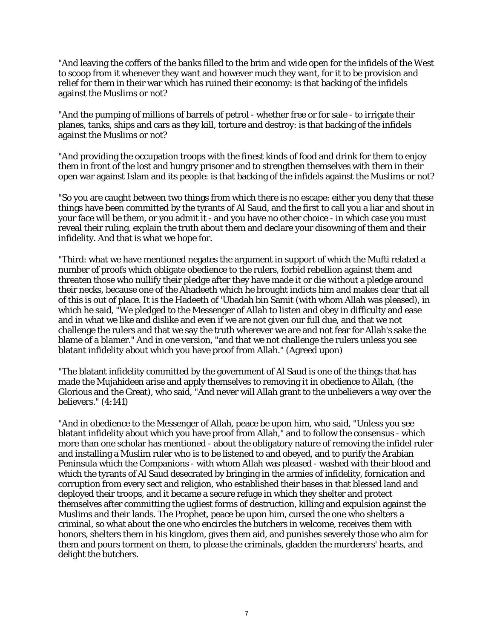"And leaving the coffers of the banks filled to the brim and wide open for the infidels of the West to scoop from it whenever they want and however much they want, for it to be provision and relief for them in their war which has ruined their economy: is that backing of the infidels against the Muslims or not?

"And the pumping of millions of barrels of petrol - whether free or for sale - to irrigate their planes, tanks, ships and cars as they kill, torture and destroy: is that backing of the infidels against the Muslims or not?

"And providing the occupation troops with the finest kinds of food and drink for them to enjoy them in front of the lost and hungry prisoner and to strengthen themselves with them in their open war against Islam and its people: is that backing of the infidels against the Muslims or not?

"So you are caught between two things from which there is no escape: either you deny that these things have been committed by the tyrants of Al Saud, and the first to call you a liar and shout in your face will be them, or you admit it - and you have no other choice - in which case you must reveal their ruling, explain the truth about them and declare your disowning of them and their infidelity. And that is what we hope for.

"Third: what we have mentioned negates the argument in support of which the Mufti related a number of proofs which obligate obedience to the rulers, forbid rebellion against them and threaten those who nullify their pledge after they have made it or die without a pledge around their necks, because one of the Ahadeeth which he brought indicts him and makes clear that all of this is out of place. It is the Hadeeth of 'Ubadah bin Samit (with whom Allah was pleased), in which he said, "We pledged to the Messenger of Allah to listen and obey in difficulty and ease and in what we like and dislike and even if we are not given our full due, and that we not challenge the rulers and that we say the truth wherever we are and not fear for Allah's sake the blame of a blamer." And in one version, "and that we not challenge the rulers unless you see blatant infidelity about which you have proof from Allah." (Agreed upon)

"The blatant infidelity committed by the government of Al Saud is one of the things that has made the Mujahideen arise and apply themselves to removing it in obedience to Allah, (the Glorious and the Great), who said, "And never will Allah grant to the unbelievers a way over the believers." (4:141)

"And in obedience to the Messenger of Allah, peace be upon him, who said, "Unless you see blatant infidelity about which you have proof from Allah," and to follow the consensus - which more than one scholar has mentioned - about the obligatory nature of removing the infidel ruler and installing a Muslim ruler who is to be listened to and obeyed, and to purify the Arabian Peninsula which the Companions - with whom Allah was pleased - washed with their blood and which the tyrants of Al Saud desecrated by bringing in the armies of infidelity, fornication and corruption from every sect and religion, who established their bases in that blessed land and deployed their troops, and it became a secure refuge in which they shelter and protect themselves after committing the ugliest forms of destruction, killing and expulsion against the Muslims and their lands. The Prophet, peace be upon him, cursed the one who shelters a criminal, so what about the one who encircles the butchers in welcome, receives them with honors, shelters them in his kingdom, gives them aid, and punishes severely those who aim for them and pours torment on them, to please the criminals, gladden the murderers' hearts, and delight the butchers.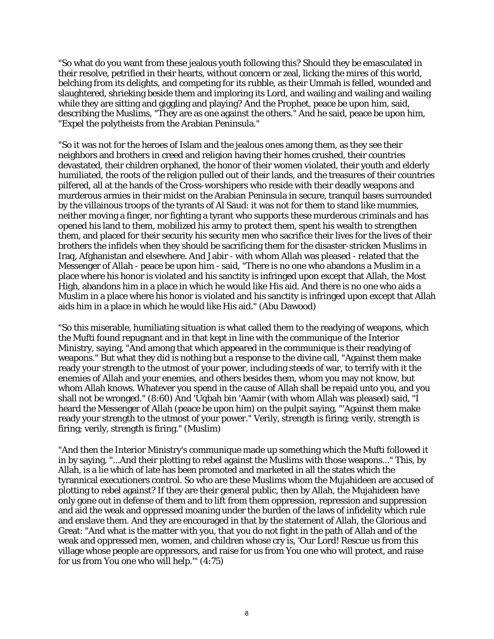"So what do you want from these jealous youth following this? Should they be emasculated in their resolve, petrified in their hearts, without concern or zeal, licking the mires of this world, belching from its delights, and competing for its rubble, as their Ummah is felled, wounded and slaughtered, shrieking beside them and imploring its Lord, and wailing and wailing and wailing while they are sitting and giggling and playing? And the Prophet, peace be upon him, said, describing the Muslims, "They are as one against the others." And he said, peace be upon him, "Expel the polytheists from the Arabian Peninsula."

"So it was not for the heroes of Islam and the jealous ones among them, as they see their neighbors and brothers in creed and religion having their homes crushed, their countries devastated, their children orphaned, the honor of their women violated, their youth and elderly humiliated, the roots of the religion pulled out of their lands, and the treasures of their countries pilfered, all at the hands of the Cross-worshipers who reside with their deadly weapons and murderous armies in their midst on the Arabian Peninsula in secure, tranquil bases surrounded by the villainous troops of the tyrants of Al Saud: it was not for them to stand like mummies, neither moving a finger, nor fighting a tyrant who supports these murderous criminals and has opened his land to them, mobilized his army to protect them, spent his wealth to strengthen them, and placed for their security his security men who sacrifice their lives for the lives of their brothers the infidels when they should be sacrificing them for the disaster-stricken Muslims in Iraq, Afghanistan and elsewhere. And Jabir - with whom Allah was pleased - related that the Messenger of Allah - peace be upon him - said, "There is no one who abandons a Muslim in a place where his honor is violated and his sanctity is infringed upon except that Allah, the Most High, abandons him in a place in which he would like His aid. And there is no one who aids a Muslim in a place where his honor is violated and his sanctity is infringed upon except that Allah aids him in a place in which he would like His aid." (Abu Dawood)

"So this miserable, humiliating situation is what called them to the readying of weapons, which the Mufti found repugnant and in that kept in line with the communique of the Interior Ministry, saying, "And among that which appeared in the communique is their readying of weapons." But what they did is nothing but a response to the divine call, "Against them make ready your strength to the utmost of your power, including steeds of war, to terrify with it the enemies of Allah and your enemies, and others besides them, whom you may not know, but whom Allah knows. Whatever you spend in the cause of Allah shall be repaid unto you, and you shall not be wronged." (8:60) And 'Uqbah bin 'Aamir (with whom Allah was pleased) said, "I heard the Messenger of Allah (peace be upon him) on the pulpit saying, "'Against them make ready your strength to the utmost of your power." Verily, strength is firing; verily, strength is firing; verily, strength is firing." (Muslim)

"And then the Interior Ministry's communique made up something which the Mufti followed it in by saying, "...And their plotting to rebel against the Muslims with those weapons..." This, by Allah, is a lie which of late has been promoted and marketed in all the states which the tyrannical executioners control. So who are these Muslims whom the Mujahideen are accused of plotting to rebel against? If they are their general public, then by Allah, the Mujahideen have only gone out in defense of them and to lift from them oppression, repression and suppression and aid the weak and oppressed moaning under the burden of the laws of infidelity which rule and enslave them. And they are encouraged in that by the statement of Allah, the Glorious and Great: "And what is the matter with you, that you do not fight in the path of Allah and of the weak and oppressed men, women, and children whose cry is, 'Our Lord! Rescue us from this village whose people are oppressors, and raise for us from You one who will protect, and raise for us from You one who will help.'" (4:75)